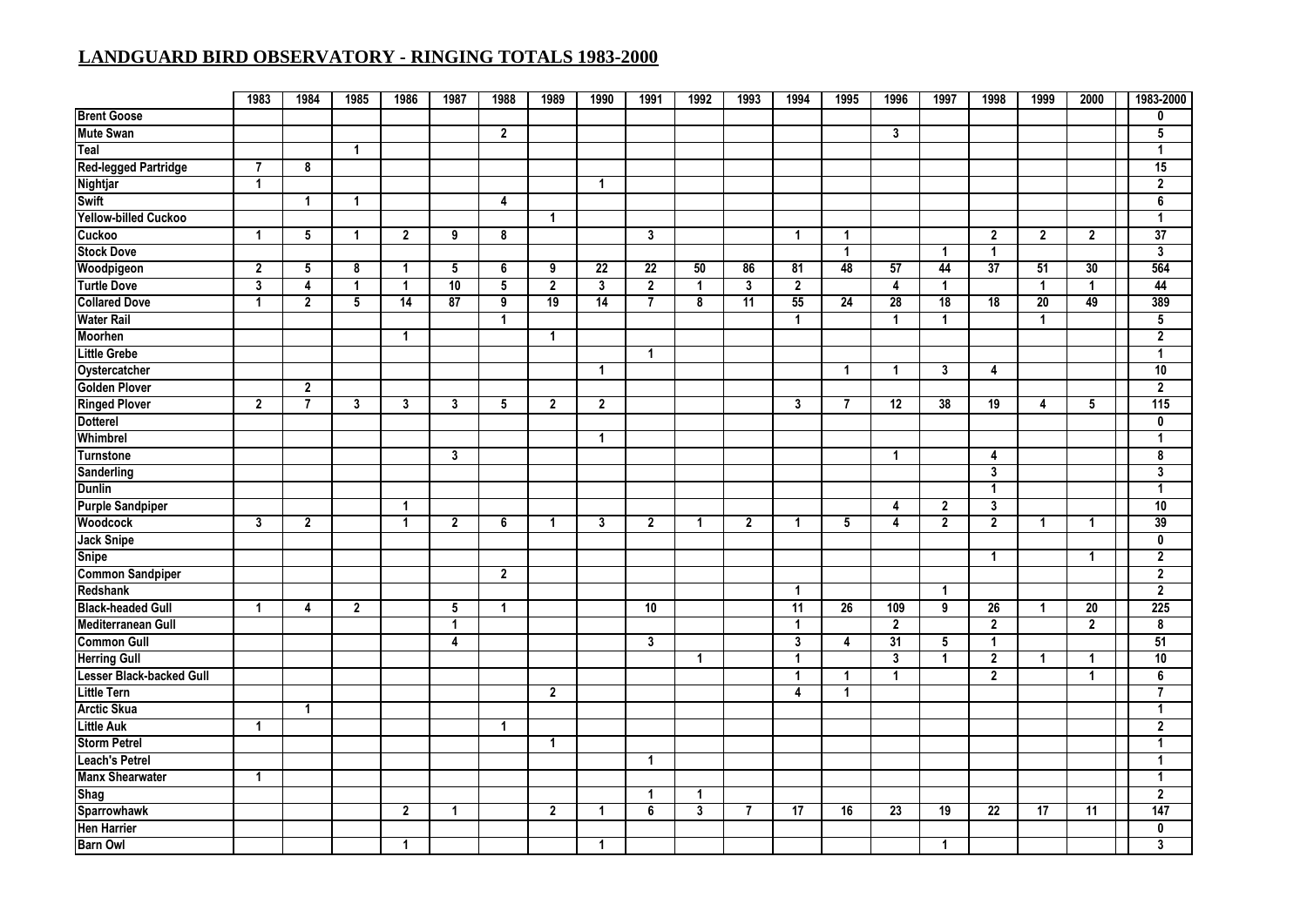|                                 | 1983                    | 1984           | 1985                 | 1986           | 1987            | 1988           | 1989           | 1990                    | 1991                    | 1992         | 1993           | 1994            | 1995            | 1996            | 1997            | 1998                    | 1999           | 2000            | 1983-2000        |
|---------------------------------|-------------------------|----------------|----------------------|----------------|-----------------|----------------|----------------|-------------------------|-------------------------|--------------|----------------|-----------------|-----------------|-----------------|-----------------|-------------------------|----------------|-----------------|------------------|
| <b>Brent Goose</b>              |                         |                |                      |                |                 |                |                |                         |                         |              |                |                 |                 |                 |                 |                         |                |                 | 0                |
| <b>Mute Swan</b>                |                         |                |                      |                |                 | $\overline{2}$ |                |                         |                         |              |                |                 |                 | $\mathbf{3}$    |                 |                         |                |                 | 5                |
| Teal                            |                         |                | $\mathbf{1}$         |                |                 |                |                |                         |                         |              |                |                 |                 |                 |                 |                         |                |                 | $\overline{1}$   |
| <b>Red-legged Partridge</b>     | $\overline{7}$          | 8              |                      |                |                 |                |                |                         |                         |              |                |                 |                 |                 |                 |                         |                |                 | 15               |
| Nightjar                        | $\mathbf{1}$            |                |                      |                |                 |                |                | $\mathbf{1}$            |                         |              |                |                 |                 |                 |                 |                         |                |                 | $\overline{2}$   |
| <b>Swift</b>                    |                         | $\overline{1}$ | $\mathbf{1}$         |                |                 | 4              |                |                         |                         |              |                |                 |                 |                 |                 |                         |                |                 | 6                |
| <b>Yellow-billed Cuckoo</b>     |                         |                |                      |                |                 |                | 1              |                         |                         |              |                |                 |                 |                 |                 |                         |                |                 | $\overline{1}$   |
| Cuckoo                          | $\mathbf{1}$            | 5              | $\blacktriangleleft$ | $\overline{2}$ | 9               | 8              |                |                         | 3                       |              |                | $\mathbf 1$     | $\overline{1}$  |                 |                 | $\mathbf{2}$            | $\overline{2}$ | $\mathbf{2}$    | $\overline{37}$  |
| <b>Stock Dove</b>               |                         |                |                      |                |                 |                |                |                         |                         |              |                |                 | $\overline{1}$  |                 | $\overline{1}$  | $\overline{1}$          |                |                 | $\mathbf{3}$     |
| Woodpigeon                      | $\overline{2}$          | 5              | 8                    | -1             | 5               | 6              | $\overline{9}$ | $\overline{22}$         | $\overline{22}$         | 50           | 86             | 81              | 48              | 57              | 44              | $\overline{37}$         | 51             | 30              | 564              |
| <b>Turtle Dove</b>              | $\overline{\mathbf{3}}$ | 4              | $\overline{1}$       | $\overline{1}$ | $\overline{10}$ | $\overline{5}$ | $\overline{2}$ | $\overline{\mathbf{3}}$ | $\overline{2}$          | $\mathbf{1}$ | 3              | $\overline{2}$  |                 | 4               | $\overline{1}$  |                         | $\mathbf{1}$   | 1               | 44               |
| <b>Collared Dove</b>            | $\mathbf{1}$            | $\overline{2}$ | 5                    | 14             | 87              | 9              | 19             | 14                      | $\overline{7}$          | 8            | 11             | 55              | 24              | $\overline{28}$ | 18              | 18                      | 20             | 49              | 389              |
| <b>Water Rail</b>               |                         |                |                      |                |                 | $\mathbf{1}$   |                |                         |                         |              |                | 1               |                 | $\mathbf{1}$    | $\overline{1}$  |                         | $\mathbf{1}$   |                 | 5                |
| <b>Moorhen</b>                  |                         |                |                      | 1              |                 |                | 1              |                         |                         |              |                |                 |                 |                 |                 |                         |                |                 | $\boldsymbol{2}$ |
| <b>Little Grebe</b>             |                         |                |                      |                |                 |                |                |                         | $\blacktriangleleft$    |              |                |                 |                 |                 |                 |                         |                |                 | $\mathbf{1}$     |
| Oystercatcher                   |                         |                |                      |                |                 |                |                | $\mathbf 1$             |                         |              |                |                 | $\mathbf{1}$    | $\mathbf{1}$    | $\overline{3}$  | 4                       |                |                 | 10               |
| <b>Golden Plover</b>            |                         | $\overline{2}$ |                      |                |                 |                |                |                         |                         |              |                |                 |                 |                 |                 |                         |                |                 | $\overline{2}$   |
| <b>Ringed Plover</b>            | $\overline{2}$          | 7              | 3                    | 3              | 3               | 5              | $\mathbf{2}$   | $\overline{2}$          |                         |              |                | 3               | 7               | 12              | 38              | 19                      | 4              | $5^{\circ}$     | 115              |
| <b>Dotterel</b>                 |                         |                |                      |                |                 |                |                |                         |                         |              |                |                 |                 |                 |                 |                         |                |                 | $\mathbf{0}$     |
| Whimbrel                        |                         |                |                      |                |                 |                |                | $\mathbf{1}$            |                         |              |                |                 |                 |                 |                 |                         |                |                 | $\mathbf{1}$     |
| <b>Turnstone</b>                |                         |                |                      |                | 3               |                |                |                         |                         |              |                |                 |                 | $\mathbf{1}$    |                 | 4                       |                |                 | 8                |
| <b>Sanderling</b>               |                         |                |                      |                |                 |                |                |                         |                         |              |                |                 |                 |                 |                 | 3                       |                |                 | 3                |
| <b>Dunlin</b>                   |                         |                |                      |                |                 |                |                |                         |                         |              |                |                 |                 |                 |                 | $\overline{1}$          |                |                 | $\mathbf{1}$     |
| <b>Purple Sandpiper</b>         |                         |                |                      | -1             |                 |                |                |                         |                         |              |                |                 |                 | 4               | $\overline{2}$  | $\overline{\mathbf{3}}$ |                |                 | 10               |
| <b>Woodcock</b>                 | 3                       | $\overline{2}$ |                      | $\overline{1}$ | $\mathbf{2}$    | 6              | 1              | 3                       | $\overline{\mathbf{2}}$ | -1           | $\overline{2}$ | $\mathbf{1}$    | 5               | 4               | $\overline{2}$  | $\overline{2}$          | $\mathbf{1}$   | 1               | 39               |
| <b>Jack Snipe</b>               |                         |                |                      |                |                 |                |                |                         |                         |              |                |                 |                 |                 |                 |                         |                |                 | $\mathbf{0}$     |
| <b>Snipe</b>                    |                         |                |                      |                |                 |                |                |                         |                         |              |                |                 |                 |                 |                 | $\overline{1}$          |                | $\mathbf{1}$    | $\overline{2}$   |
| <b>Common Sandpiper</b>         |                         |                |                      |                |                 | $\overline{2}$ |                |                         |                         |              |                |                 |                 |                 |                 |                         |                |                 | $\boldsymbol{2}$ |
| Redshank                        |                         |                |                      |                |                 |                |                |                         |                         |              |                | $\overline{1}$  |                 |                 | $\overline{1}$  |                         |                |                 | $\overline{2}$   |
| <b>Black-headed Gull</b>        | $\mathbf{1}$            | 4              | $\overline{2}$       |                | 5               | 1              |                |                         | $\overline{10}$         |              |                | $\overline{11}$ | $\overline{26}$ | 109             | 9               | $\overline{26}$         | $\mathbf{1}$   | $\overline{20}$ | 225              |
| <b>Mediterranean Gull</b>       |                         |                |                      |                | $\mathbf{1}$    |                |                |                         |                         |              |                | 1               |                 | $\overline{2}$  |                 | $\overline{2}$          |                | $\mathbf 2$     | 8                |
| <b>Common Gull</b>              |                         |                |                      |                | 4               |                |                |                         | 3                       |              |                | 3               | 4               | 31              | $5\phantom{.0}$ | $\overline{1}$          |                |                 | 51               |
| <b>Herring Gull</b>             |                         |                |                      |                |                 |                |                |                         |                         | $\mathbf{1}$ |                | $\overline{1}$  |                 | 3               | 1               | $\overline{2}$          | $\mathbf{1}$   | 1               | $\overline{10}$  |
| <b>Lesser Black-backed Gull</b> |                         |                |                      |                |                 |                |                |                         |                         |              |                | $\overline{1}$  | $\mathbf 1$     | $\mathbf{1}$    |                 | $\overline{2}$          |                | $\mathbf{1}$    | 6                |
| <b>Little Tern</b>              |                         |                |                      |                |                 |                | $\overline{2}$ |                         |                         |              |                | $\overline{4}$  | $\mathbf{1}$    |                 |                 |                         |                |                 | $\overline{7}$   |
| <b>Arctic Skua</b>              |                         | $\mathbf{1}$   |                      |                |                 |                |                |                         |                         |              |                |                 |                 |                 |                 |                         |                |                 | $\overline{1}$   |
| <b>Little Auk</b>               | $\mathbf{1}$            |                |                      |                |                 | $\mathbf{1}$   |                |                         |                         |              |                |                 |                 |                 |                 |                         |                |                 | $\overline{2}$   |
| <b>Storm Petrel</b>             |                         |                |                      |                |                 |                | 1              |                         |                         |              |                |                 |                 |                 |                 |                         |                |                 | $\overline{1}$   |
| <b>Leach's Petrel</b>           |                         |                |                      |                |                 |                |                |                         | $\mathbf{1}$            |              |                |                 |                 |                 |                 |                         |                |                 | $\overline{1}$   |
| <b>Manx Shearwater</b>          | $\mathbf{1}$            |                |                      |                |                 |                |                |                         |                         |              |                |                 |                 |                 |                 |                         |                |                 | $\mathbf{1}$     |
| Shag                            |                         |                |                      |                |                 |                |                |                         | $\mathbf{1}$            | -1           |                |                 |                 |                 |                 |                         |                |                 | $\overline{2}$   |
| <b>Sparrowhawk</b>              |                         |                |                      | $\mathbf{2}$   | $\overline{1}$  |                | $\mathbf 2$    | $\blacktriangleleft$    | 6                       | 3            | $\overline{7}$ | 17              | 16              | 23              | 19              | $\overline{22}$         | 17             | 11              | 147              |
| <b>Hen Harrier</b>              |                         |                |                      |                |                 |                |                |                         |                         |              |                |                 |                 |                 |                 |                         |                |                 | 0                |
| <b>Barn Owl</b>                 |                         |                |                      | 1              |                 |                |                | $\blacktriangleleft$    |                         |              |                |                 |                 |                 | $\mathbf{1}$    |                         |                |                 | 3                |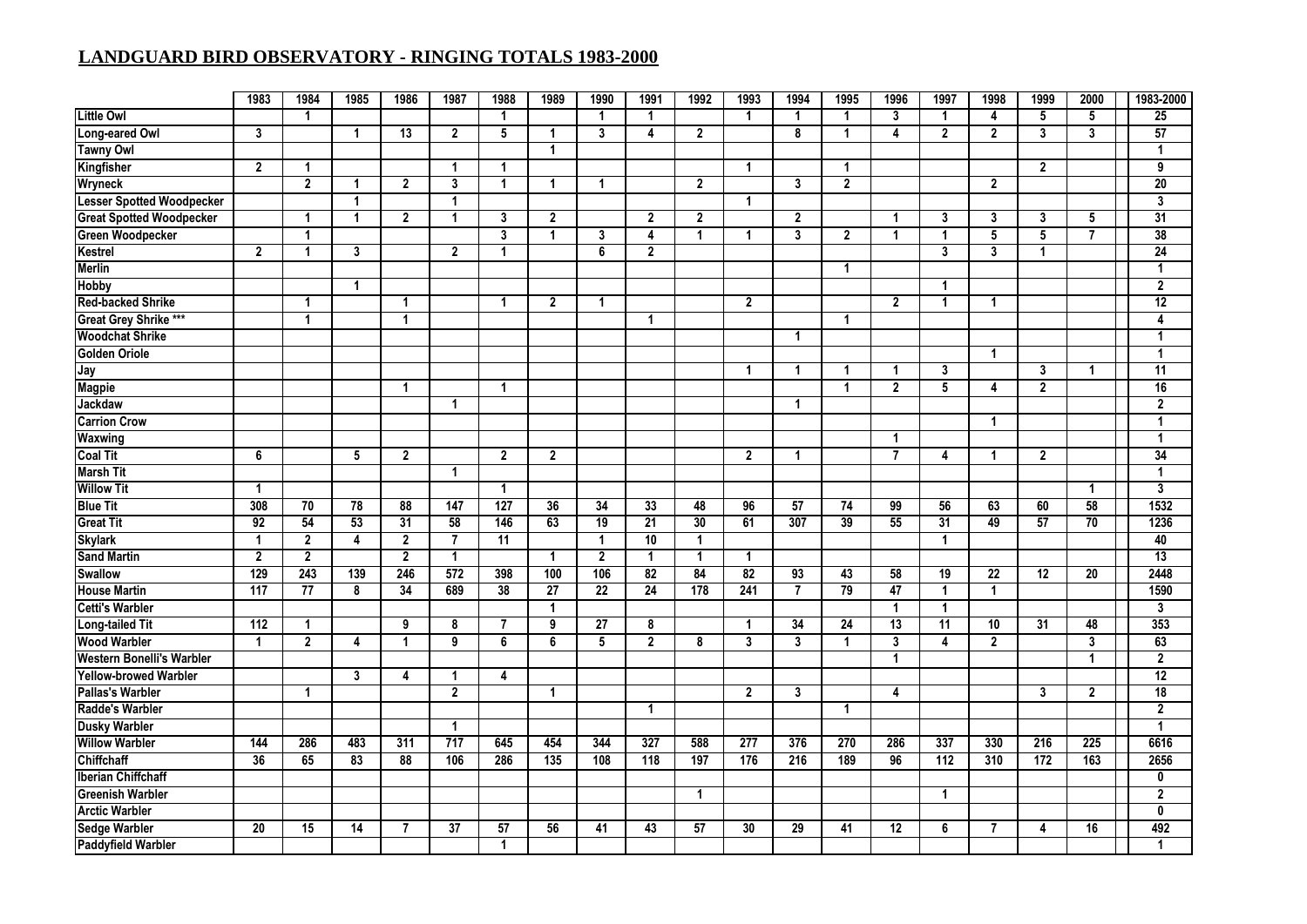| <b>Little Owl</b><br>$\blacktriangleleft$<br>3<br>$\mathbf{1}$<br>5<br>5<br>$\overline{1}$<br>-1<br>$\mathbf{1}$<br>$\overline{1}$<br>$\mathbf{1}$<br>$\overline{1}$<br>4<br>Long-eared Owl<br>$\mathbf{3}$<br>13<br>5<br>$\mathbf{3}$<br>$\overline{\mathbf{4}}$<br>$\overline{2}$<br>8<br>$\overline{4}$<br>$\overline{2}$<br>$\overline{2}$<br>$\mathbf{3}$<br>$\mathbf{3}$<br>$\blacktriangleleft$<br>$\overline{2}$<br>$\mathbf{1}$<br>$\mathbf{1}$<br><b>Tawny Owl</b><br>$\mathbf{1}$<br>$\overline{2}$<br>Kingfisher<br>$\mathbf{1}$<br>$\overline{1}$<br>$\overline{2}$<br>$\mathbf{1}$<br>$\overline{\mathbf{1}}$<br>$\blacktriangleleft$ | 25<br>57<br>$\mathbf{1}$<br>9<br>$\overline{20}$<br>3 |
|-----------------------------------------------------------------------------------------------------------------------------------------------------------------------------------------------------------------------------------------------------------------------------------------------------------------------------------------------------------------------------------------------------------------------------------------------------------------------------------------------------------------------------------------------------------------------------------------------------------------------------------------------------|-------------------------------------------------------|
|                                                                                                                                                                                                                                                                                                                                                                                                                                                                                                                                                                                                                                                     |                                                       |
|                                                                                                                                                                                                                                                                                                                                                                                                                                                                                                                                                                                                                                                     |                                                       |
|                                                                                                                                                                                                                                                                                                                                                                                                                                                                                                                                                                                                                                                     |                                                       |
|                                                                                                                                                                                                                                                                                                                                                                                                                                                                                                                                                                                                                                                     |                                                       |
| $\overline{2}$<br>$\overline{2}$<br>$\overline{2}$<br>3<br>$\overline{2}$<br><b>Wryneck</b><br>3<br>$\overline{2}$<br>$\mathbf{1}$<br>$\blacktriangleleft$<br>$\mathbf{1}$<br>$\mathbf{1}$                                                                                                                                                                                                                                                                                                                                                                                                                                                          |                                                       |
| <b>Lesser Spotted Woodpecker</b><br>$\overline{1}$<br>$\overline{\mathbf{1}}$<br>$\mathbf{1}$                                                                                                                                                                                                                                                                                                                                                                                                                                                                                                                                                       |                                                       |
| <b>Great Spotted Woodpecker</b><br>$\overline{2}$<br>$\mathbf{1}$<br>$\overline{2}$<br>$\overline{1}$<br>3<br>$\mathbf{2}$<br>$\overline{2}$<br>$\overline{2}$<br>3<br>3<br>3<br>5<br>$\mathbf{1}$<br>$\blacktriangleleft$                                                                                                                                                                                                                                                                                                                                                                                                                          | 31                                                    |
| $\overline{\mathbf{3}}$<br><b>Green Woodpecker</b><br>3<br>$\overline{\mathbf{4}}$<br>5<br>5<br>$\overline{7}$<br>$\mathbf{1}$<br>3<br>$\mathbf{1}$<br>$\overline{2}$<br>$\mathbf{1}$<br>$\mathbf{1}$<br>$\mathbf{1}$<br>$\blacktriangleleft$                                                                                                                                                                                                                                                                                                                                                                                                       | 38                                                    |
| $\overline{\mathbf{3}}$<br>$\overline{2}$<br>$\mathbf{3}$<br>6<br>$\boldsymbol{2}$<br>$\mathbf{3}$<br>Kestrel<br>$\mathbf{2}$<br>$\blacktriangleleft$<br>$\overline{1}$<br>$\overline{1}$                                                                                                                                                                                                                                                                                                                                                                                                                                                           | 24                                                    |
| <b>Merlin</b><br>$\overline{1}$                                                                                                                                                                                                                                                                                                                                                                                                                                                                                                                                                                                                                     | 1                                                     |
| Hobby<br>$\mathbf{1}$<br>$\blacktriangleleft$                                                                                                                                                                                                                                                                                                                                                                                                                                                                                                                                                                                                       | $\overline{2}$                                        |
| <b>Red-backed Shrike</b><br>$\overline{2}$<br>1<br>1<br>$\mathbf{2}$<br>$\mathbf{1}$<br>$\overline{2}$<br>$\mathbf{1}$<br>$\mathbf{1}$<br>1                                                                                                                                                                                                                                                                                                                                                                                                                                                                                                         | $\overline{12}$                                       |
| Great Grey Shrike ***<br>$\overline{1}$<br>$\mathbf{1}$<br>1<br>$\overline{1}$                                                                                                                                                                                                                                                                                                                                                                                                                                                                                                                                                                      | 4                                                     |
| <b>Woodchat Shrike</b><br>$\blacktriangleleft$                                                                                                                                                                                                                                                                                                                                                                                                                                                                                                                                                                                                      | $\mathbf{1}$                                          |
| <b>Golden Oriole</b><br>$\overline{1}$                                                                                                                                                                                                                                                                                                                                                                                                                                                                                                                                                                                                              | $\mathbf{1}$                                          |
| Jay<br>$\mathbf{1}$<br>$\blacktriangleleft$<br>3<br>3<br>$\mathbf{1}$<br>$\blacktriangleleft$<br>1                                                                                                                                                                                                                                                                                                                                                                                                                                                                                                                                                  | $\overline{11}$                                       |
| $\overline{5}$<br>$\overline{2}$<br>$\overline{2}$<br><b>Magpie</b><br>$\overline{1}$<br>$\overline{1}$<br>1<br>4                                                                                                                                                                                                                                                                                                                                                                                                                                                                                                                                   | 16                                                    |
| Jackdaw<br>$\overline{1}$<br>$\blacktriangleleft$                                                                                                                                                                                                                                                                                                                                                                                                                                                                                                                                                                                                   | $\boldsymbol{2}$                                      |
| <b>Carrion Crow</b><br>$\mathbf{1}$                                                                                                                                                                                                                                                                                                                                                                                                                                                                                                                                                                                                                 | $\mathbf{1}$                                          |
| <b>Waxwing</b><br>$\mathbf{1}$                                                                                                                                                                                                                                                                                                                                                                                                                                                                                                                                                                                                                      | $\mathbf{1}$                                          |
| <b>Coal Tit</b><br>$\overline{2}$<br>$\overline{2}$<br>6<br>5<br>$\mathbf{2}$<br>$\overline{2}$<br>$\overline{7}$<br>4<br>$\overline{2}$<br>$\mathbf{1}$<br>$\mathbf{1}$                                                                                                                                                                                                                                                                                                                                                                                                                                                                            | $\overline{34}$                                       |
| <b>Marsh Tit</b><br>$\overline{1}$                                                                                                                                                                                                                                                                                                                                                                                                                                                                                                                                                                                                                  | $\mathbf{1}$                                          |
| <b>Willow Tit</b><br>$\overline{1}$<br>$\overline{1}$<br>$\mathbf{1}$                                                                                                                                                                                                                                                                                                                                                                                                                                                                                                                                                                               | 3                                                     |
| 127<br>58<br><b>Blue Tit</b><br>308<br>$\overline{78}$<br>88<br>36<br>34<br>33<br>48<br>57<br>99<br>56<br>70<br>147<br>96<br>74<br>63<br>60                                                                                                                                                                                                                                                                                                                                                                                                                                                                                                         | 1532                                                  |
| 92<br>53<br>146<br>63<br>21<br>30<br>307<br>39<br>55<br>$\overline{31}$<br>57<br>70<br><b>Great Tit</b><br>54<br>31<br>58<br>$\overline{19}$<br>61<br>49                                                                                                                                                                                                                                                                                                                                                                                                                                                                                            | 1236                                                  |
| $\overline{2}$<br>$\overline{2}$<br>$\overline{10}$<br><b>Skylark</b><br>$\overline{1}$<br>4<br>$\overline{7}$<br>11<br>$\overline{1}$<br>$\blacktriangleleft$<br>$\blacktriangleleft$                                                                                                                                                                                                                                                                                                                                                                                                                                                              | 40                                                    |
| <b>Sand Martin</b><br>$\overline{2}$<br>$\overline{2}$<br>$\overline{2}$<br>$\overline{2}$<br>$\overline{1}$<br>$\mathbf{1}$<br>$\overline{1}$<br>$\mathbf{1}$<br>$\mathbf{1}$                                                                                                                                                                                                                                                                                                                                                                                                                                                                      | 13                                                    |
| 129<br>243<br>246<br>572<br>100<br>$\overline{82}$<br>84<br>$\overline{82}$<br>$\overline{93}$<br>$\overline{19}$<br>$\overline{12}$<br>$\overline{20}$<br>139<br>398<br>106<br>43<br>58<br>22<br><b>Swallow</b>                                                                                                                                                                                                                                                                                                                                                                                                                                    | 2448                                                  |
| <b>House Martin</b><br>117<br>34<br>24<br>178<br>241<br>79<br>47<br>77<br>8<br>689<br>38<br>27<br>22<br>$\overline{7}$<br>$\blacktriangleleft$<br>$\blacktriangleleft$                                                                                                                                                                                                                                                                                                                                                                                                                                                                              | 1590                                                  |
| <b>Cetti's Warbler</b><br>$\overline{1}$<br>$\mathbf 1$<br>$\blacktriangleleft$                                                                                                                                                                                                                                                                                                                                                                                                                                                                                                                                                                     | $\overline{3}$                                        |
| <b>Long-tailed Tit</b><br>112<br>$\overline{9}$<br>9<br>34<br>$\overline{24}$<br>$\overline{13}$<br>$\overline{11}$<br>31<br>48<br>8<br>$\overline{7}$<br>27<br>8<br>10<br>$\mathbf{1}$<br>$\mathbf{1}$                                                                                                                                                                                                                                                                                                                                                                                                                                             | 353                                                   |
| $\overline{3}$<br><b>Wood Warbler</b><br>6<br>$\overline{2}$<br>$\overline{3}$<br>3<br>$\overline{2}$<br>$\overline{2}$<br>$\blacktriangleleft$<br>9<br>5<br>3<br>$\overline{\mathbf{4}}$<br>$\overline{1}$<br>4<br>6<br>8<br>$\blacktriangleleft$                                                                                                                                                                                                                                                                                                                                                                                                  | 63                                                    |
| Western Bonelli's Warbler<br>$\overline{1}$<br>$\overline{1}$                                                                                                                                                                                                                                                                                                                                                                                                                                                                                                                                                                                       | $\overline{2}$                                        |
| Yellow-browed Warbler<br>$\mathbf{3}$<br>$\overline{\mathbf{4}}$<br>$\overline{1}$<br>4                                                                                                                                                                                                                                                                                                                                                                                                                                                                                                                                                             | $\overline{12}$                                       |
| $\overline{2}$<br><b>Pallas's Warbler</b><br>$\mathbf{1}$<br>$\mathbf{2}$<br>$\mathbf{3}$<br>$\overline{3}$<br>$\mathbf{2}$<br>$\blacktriangleleft$<br>4                                                                                                                                                                                                                                                                                                                                                                                                                                                                                            | $\overline{18}$                                       |
| Radde's Warbler<br>$\mathbf{1}$<br>-1                                                                                                                                                                                                                                                                                                                                                                                                                                                                                                                                                                                                               | $\overline{2}$                                        |
| <b>Dusky Warbler</b><br>$\overline{1}$                                                                                                                                                                                                                                                                                                                                                                                                                                                                                                                                                                                                              | $\mathbf{1}$                                          |
| <b>Willow Warbler</b><br>144<br>483<br>717<br>645<br>454<br>327<br>588<br>277<br>376<br>270<br>337<br>216<br>225<br>286<br>311<br>344<br>286<br>330                                                                                                                                                                                                                                                                                                                                                                                                                                                                                                 | 6616                                                  |
| 36<br>135<br>163<br><b>Chiffchaff</b><br>65<br>83<br>88<br>286<br>108<br>118<br>197<br>176<br>216<br>189<br>96<br>112<br>310<br>172<br>106                                                                                                                                                                                                                                                                                                                                                                                                                                                                                                          | 2656                                                  |
| <b>Iberian Chiffchaff</b>                                                                                                                                                                                                                                                                                                                                                                                                                                                                                                                                                                                                                           | 0                                                     |
| <b>Greenish Warbler</b><br>$\mathbf{1}$<br>-1                                                                                                                                                                                                                                                                                                                                                                                                                                                                                                                                                                                                       | $\mathbf 2$                                           |
| <b>Arctic Warbler</b>                                                                                                                                                                                                                                                                                                                                                                                                                                                                                                                                                                                                                               | 0                                                     |
| 37<br>57<br>56<br>57<br>30<br>29<br>6<br>16<br><b>Sedge Warbler</b><br>20<br>15<br>14<br>$\overline{7}$<br>41<br>43<br>41<br>12<br>7<br>4                                                                                                                                                                                                                                                                                                                                                                                                                                                                                                           | 492                                                   |
| <b>Paddyfield Warbler</b><br>1                                                                                                                                                                                                                                                                                                                                                                                                                                                                                                                                                                                                                      | 1                                                     |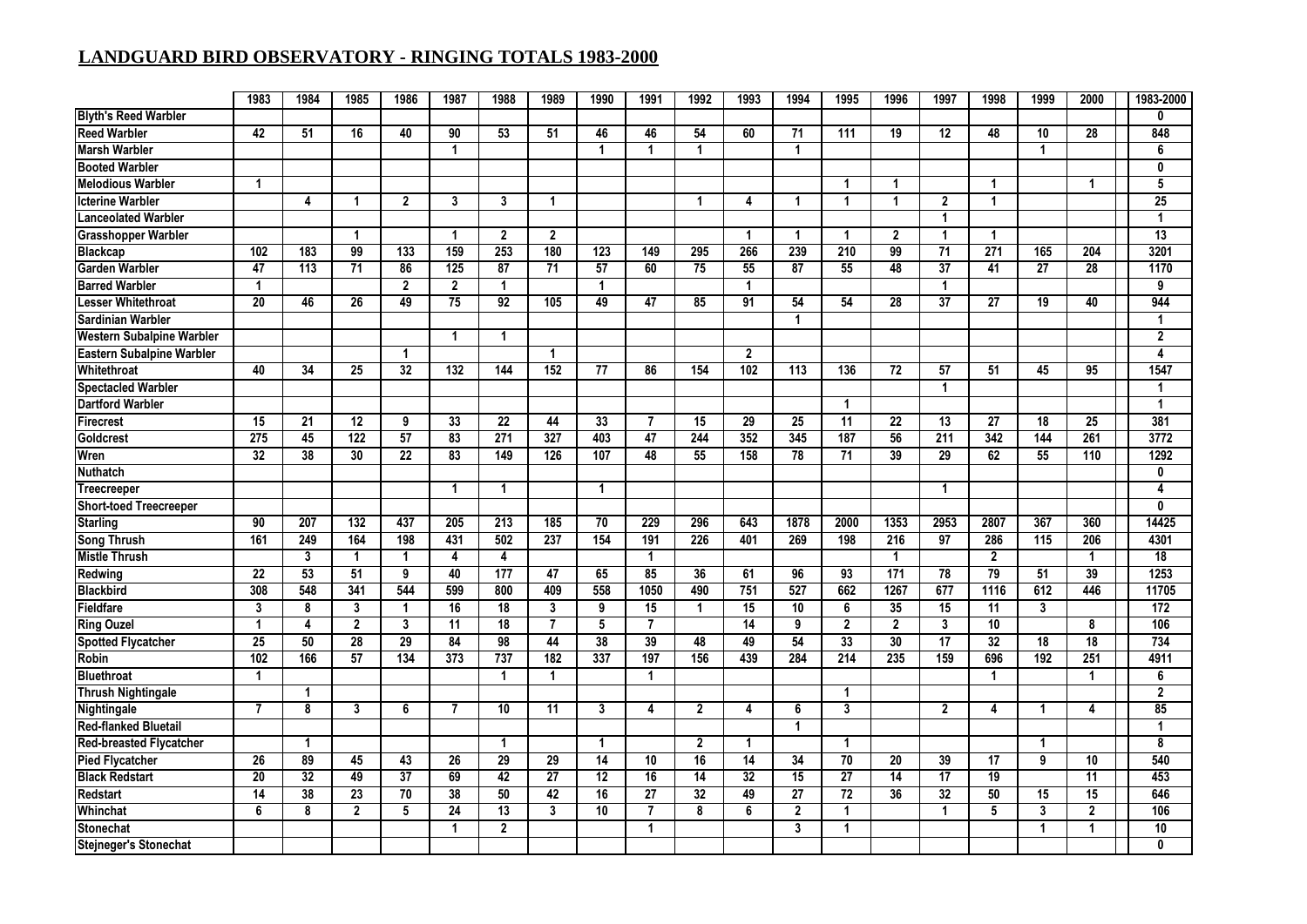|                                  | 1983             | 1984            | 1985                 | 1986                 | 1987                    | 1988                 | 1989            | 1990                 | 1991            | 1992            | 1993            | 1994                 | 1995                 | 1996                 | 1997                 | 1998            | 1999                    | 2000            | 1983-2000       |
|----------------------------------|------------------|-----------------|----------------------|----------------------|-------------------------|----------------------|-----------------|----------------------|-----------------|-----------------|-----------------|----------------------|----------------------|----------------------|----------------------|-----------------|-------------------------|-----------------|-----------------|
| <b>Blyth's Reed Warbler</b>      |                  |                 |                      |                      |                         |                      |                 |                      |                 |                 |                 |                      |                      |                      |                      |                 |                         |                 | $\mathbf{0}$    |
| <b>Reed Warbler</b>              | 42               | 51              | 16                   | 40                   | 90                      | 53                   | 51              | 46                   | 46              | 54              | 60              | 71                   | 111                  | 19                   | 12                   | 48              | 10                      | 28              | 848             |
| <b>Marsh Warbler</b>             |                  |                 |                      |                      | -1                      |                      |                 | $\blacktriangleleft$ | 1               | $\mathbf 1$     |                 | $\blacktriangleleft$ |                      |                      |                      |                 | $\overline{1}$          |                 | 6               |
| <b>Booted Warbler</b>            |                  |                 |                      |                      |                         |                      |                 |                      |                 |                 |                 |                      |                      |                      |                      |                 |                         |                 | 0               |
| <b>Melodious Warbler</b>         | -1               |                 |                      |                      |                         |                      |                 |                      |                 |                 |                 |                      | -1                   |                      |                      | $\mathbf 1$     |                         |                 | 5               |
| <b>Icterine Warbler</b>          |                  | 4               | 1                    | $\overline{2}$       | 3                       | 3                    | 1               |                      |                 | -1              | 4               | $\blacktriangleleft$ | $\overline{1}$       | $\blacktriangleleft$ | $\overline{2}$       | $\mathbf 1$     |                         |                 | 25              |
| <b>Lanceolated Warbler</b>       |                  |                 |                      |                      |                         |                      |                 |                      |                 |                 |                 |                      |                      |                      | $\mathbf{1}$         |                 |                         |                 | 1               |
| <b>Grasshopper Warbler</b>       |                  |                 | $\blacktriangleleft$ |                      | $\overline{1}$          | $\overline{2}$       | $\overline{2}$  |                      |                 |                 | $\mathbf{1}$    | $\blacktriangleleft$ | $\mathbf{1}$         | $\overline{2}$       | $\mathbf{1}$         | $\mathbf{1}$    |                         |                 | 13              |
| <b>Blackcap</b>                  | 102              | 183             | 99                   | 133                  | 159                     | 253                  | 180             | 123                  | 149             | 295             | 266             | 239                  | 210                  | 99                   | $\overline{71}$      | 271             | 165                     | 204             | 3201            |
| <b>Garden Warbler</b>            | 47               | 113             | $\overline{71}$      | 86                   | 125                     | $\overline{87}$      | 71              | 57                   | 60              | 75              | 55              | $\overline{87}$      | 55                   | 48                   | $\overline{37}$      | 41              | $\overline{27}$         | 28              | 1170            |
| <b>Barred Warbler</b>            | $\mathbf{1}$     |                 |                      | $\overline{2}$       | $\mathbf{2}$            | $\mathbf{1}$         |                 | $\mathbf{1}$         |                 |                 | 1               |                      |                      |                      | $\mathbf{1}$         |                 |                         |                 | 9               |
| Lesser Whitethroat               | $\overline{20}$  | 46              | 26                   | 49                   | 75                      | 92                   | 105             | 49                   | 47              | 85              | 91              | 54                   | 54                   | 28                   | $\overline{37}$      | 27              | 19                      | 40              | 944             |
| <b>Sardinian Warbler</b>         |                  |                 |                      |                      |                         |                      |                 |                      |                 |                 |                 | $\mathbf{1}$         |                      |                      |                      |                 |                         |                 | 1               |
| Western Subalpine Warbler        |                  |                 |                      |                      | $\overline{1}$          | 1                    |                 |                      |                 |                 |                 |                      |                      |                      |                      |                 |                         |                 | $\overline{2}$  |
| <b>Eastern Subalpine Warbler</b> |                  |                 |                      | $\blacktriangleleft$ |                         |                      | $\mathbf{1}$    |                      |                 |                 | $\overline{2}$  |                      |                      |                      |                      |                 |                         |                 | $\overline{4}$  |
| Whitethroat                      | 40               | 34              | 25                   | $\overline{32}$      | 132                     | 144                  | 152             | 77                   | 86              | 154             | 102             | 113                  | 136                  | 72                   | $\overline{57}$      | 51              | 45                      | 95              | 1547            |
| <b>Spectacled Warbler</b>        |                  |                 |                      |                      |                         |                      |                 |                      |                 |                 |                 |                      |                      |                      | $\overline{1}$       |                 |                         |                 | 1               |
| <b>Dartford Warbler</b>          |                  |                 |                      |                      |                         |                      |                 |                      |                 |                 |                 |                      | $\blacktriangleleft$ |                      |                      |                 |                         |                 | $\mathbf{1}$    |
| <b>Firecrest</b>                 | 15               | 21              | 12                   | 9                    | 33                      | 22                   | 44              | 33                   | 7               | 15              | 29              | 25                   | 11                   | 22                   | 13                   | 27              | 18                      | 25              | 381             |
| <b>Goldcrest</b>                 | $\overline{275}$ | 45              | 122                  | 57                   | 83                      | 271                  | 327             | 403                  | 47              | 244             | 352             | 345                  | 187                  | 56                   | $\overline{211}$     | 342             | 144                     | 261             | 3772            |
| Wren                             | $\overline{32}$  | 38              | 30                   | 22                   | 83                      | 149                  | 126             | 107                  | 48              | 55              | 158             | 78                   | 71                   | 39                   | 29                   | 62              | 55                      | 110             | 1292            |
| <b>Nuthatch</b>                  |                  |                 |                      |                      |                         |                      |                 |                      |                 |                 |                 |                      |                      |                      |                      |                 |                         |                 | 0               |
| <b>Treecreeper</b>               |                  |                 |                      |                      | $\overline{\mathbf{1}}$ | $\mathbf 1$          |                 | $\mathbf{1}$         |                 |                 |                 |                      |                      |                      | $\blacktriangleleft$ |                 |                         |                 | 4               |
| <b>Short-toed Treecreeper</b>    |                  |                 |                      |                      |                         |                      |                 |                      |                 |                 |                 |                      |                      |                      |                      |                 |                         |                 | $\mathbf{0}$    |
| <b>Starling</b>                  | 90               | 207             | 132                  | 437                  | 205                     | 213                  | 185             | 70                   | 229             | 296             | 643             | 1878                 | 2000                 | 1353                 | 2953                 | 2807            | 367                     | 360             | 14425           |
| <b>Song Thrush</b>               | 161              | 249             | 164                  | 198                  | 431                     | 502                  | 237             | 154                  | 191             | 226             | 401             | 269                  | 198                  | 216                  | 97                   | 286             | 115                     | 206             | 4301            |
| <b>Mistle Thrush</b>             |                  | $\overline{3}$  | $\mathbf{1}$         | $\overline{1}$       | 4                       | 4                    |                 |                      | $\mathbf 1$     |                 |                 |                      |                      | $\mathbf{1}$         |                      | $\overline{2}$  |                         | $\overline{1}$  | $\overline{18}$ |
| Redwing                          | 22               | 53              | 51                   | 9                    | 40                      | 177                  | 47              | 65                   | 85              | 36              | 61              | 96                   | 93                   | 171                  | 78                   | 79              | 51                      | 39              | 1253            |
| <b>Blackbird</b>                 | 308              | 548             | 341                  | 544                  | 599                     | 800                  | 409             | 558                  | 1050            | 490             | 751             | 527                  | 662                  | 1267                 | 677                  | 1116            | 612                     | 446             | 11705           |
| <b>Fieldfare</b>                 | $\overline{3}$   | 8               | $\mathbf{3}$         | $\overline{1}$       | 16                      | 18                   | 3               | 9                    | 15              | $\mathbf 1$     | 15              | $\overline{10}$      | 6                    | 35                   | 15                   | 11              | $\mathbf{3}$            |                 | 172             |
| <b>Ring Ouzel</b>                | $\mathbf{1}$     | 4               | $\overline{2}$       | 3                    | 11                      | $\overline{18}$      | 7               | 5                    | 7               |                 | $\overline{14}$ | 9                    | $\mathbf{2}$         | $\overline{2}$       | 3                    | 10              |                         | 8               | 106             |
| <b>Spotted Flycatcher</b>        | $\overline{25}$  | 50              | 28                   | 29                   | 84                      | 98                   | 44              | $\overline{38}$      | 39              | 48              | 49              | 54                   | 33                   | 30                   | 17                   | 32              | $\overline{18}$         | $\overline{18}$ | 734             |
| <b>Robin</b>                     | 102              | 166             | 57                   | 134                  | $\overline{373}$        | 737                  | 182             | 337                  | 197             | 156             | 439             | 284                  | $\overline{214}$     | 235                  | 159                  | 696             | 192                     | 251             | 4911            |
| <b>Bluethroat</b>                | -1               |                 |                      |                      |                         | -1                   | $\mathbf 1$     |                      | 1               |                 |                 |                      |                      |                      |                      | -1              |                         | 1               | 6               |
| <b>Thrush Nightingale</b>        |                  | -1              |                      |                      |                         |                      |                 |                      |                 |                 |                 |                      | -1                   |                      |                      |                 |                         |                 | $\mathbf 2$     |
| Nightingale                      | 7                | 8               | 3                    | 6                    | 7                       | 10                   | 11              | 3                    | 4               | $\overline{2}$  | 4               | 6                    | 3                    |                      | $\overline{2}$       | 4               | $\overline{\mathbf{1}}$ | 4               | 85              |
| <b>Red-flanked Bluetail</b>      |                  |                 |                      |                      |                         |                      |                 |                      |                 |                 |                 | 1                    |                      |                      |                      |                 |                         |                 | 1               |
| <b>Red-breasted Flycatcher</b>   |                  | $\mathbf{1}$    |                      |                      |                         | $\blacktriangleleft$ |                 | $\mathbf{1}$         |                 | $\mathbf{2}$    | 1               |                      | $\mathbf{1}$         |                      |                      |                 | $\overline{1}$          |                 | 8               |
| <b>Pied Flycatcher</b>           | 26               | 89              | 45                   | 43                   | 26                      | $\overline{29}$      | 29              | 14                   | 10              | 16              | $\overline{14}$ | 34                   | $\overline{70}$      | 20                   | 39                   | 17              | 9                       | 10              | 540             |
| <b>Black Redstart</b>            | $\overline{20}$  | 32              | 49                   | 37                   | 69                      | 42                   | $\overline{27}$ | $\overline{12}$      | 16              | $\overline{14}$ | 32              | $\overline{15}$      | 27                   | $\overline{14}$      | $\overline{17}$      | $\overline{19}$ |                         | $\overline{11}$ | 453             |
| Redstart                         | 14               | $\overline{38}$ | $\overline{23}$      | $\overline{70}$      | $\overline{38}$         | 50                   | 42              | 16                   | $\overline{27}$ | $\overline{32}$ | 49              | 27                   | $\overline{72}$      | 36                   | $\overline{32}$      | 50              | 15                      | $\overline{15}$ | 646             |
| Whinchat                         | 6                | 8               | $\overline{2}$       | 5                    | 24                      | $\overline{13}$      | 3               | 10                   | $\overline{7}$  | 8               | 6               | $\mathbf{2}$         | $\mathbf{1}$         |                      | $\mathbf{1}$         | 5               | $\mathbf{3}$            | $\mathbf{2}$    | 106             |
| <b>Stonechat</b>                 |                  |                 |                      |                      | 1                       | $\overline{2}$       |                 |                      | 1               |                 |                 | 3                    | 1                    |                      |                      |                 | 1                       | 1               | 10              |
| <b>Stejneger's Stonechat</b>     |                  |                 |                      |                      |                         |                      |                 |                      |                 |                 |                 |                      |                      |                      |                      |                 |                         |                 | $\mathbf{0}$    |